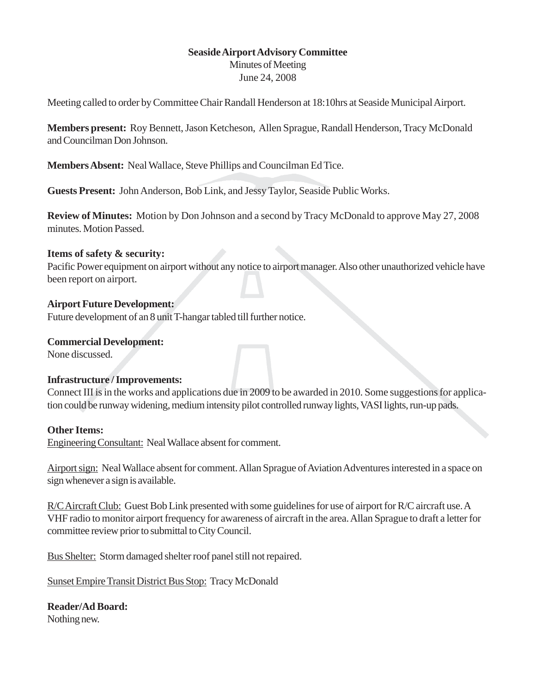## **Seaside Airport Advisory Committee**

Minutes of Meeting June 24, 2008

Meeting called to order by Committee Chair Randall Henderson at 18:10hrs at Seaside Municipal Airport.

**Members present:** Roy Bennett, Jason Ketcheson, Allen Sprague, Randall Henderson, Tracy McDonald and Councilman Don Johnson.

**Members Absent:** Neal Wallace, Steve Phillips and Councilman Ed Tice.

**Guests Present:** John Anderson, Bob Link, and Jessy Taylor, Seaside Public Works.

**Review of Minutes:** Motion by Don Johnson and a second by Tracy McDonald to approve May 27, 2008 minutes. Motion Passed.

### **Items of safety & security:**

Pacific Power equipment on airport without any notice to airport manager. Also other unauthorized vehicle have been report on airport.

## **Airport Future Development:**

Future development of an 8 unit T-hangar tabled till further notice.

## **Commercial Development:**

None discussed.

# **Infrastructure / Improvements:**

Connect III is in the works and applications due in 2009 to be awarded in 2010. Some suggestions for application could be runway widening, medium intensity pilot controlled runway lights, VASI lights, run-up pads.

### **Other Items:**

Engineering Consultant: Neal Wallace absent for comment.

Airport sign: Neal Wallace absent for comment. Allan Sprague of Aviation Adventures interested in a space on sign whenever a sign is available.

R/C Aircraft Club: Guest Bob Link presented with some guidelines for use of airport for R/C aircraft use. A VHF radio to monitor airport frequency for awareness of aircraft in the area. Allan Sprague to draft a letter for committee review prior to submittal to City Council.

Bus Shelter: Storm damaged shelter roof panel still not repaired.

Sunset Empire Transit District Bus Stop: Tracy McDonald

**Reader/Ad Board:** Nothing new.